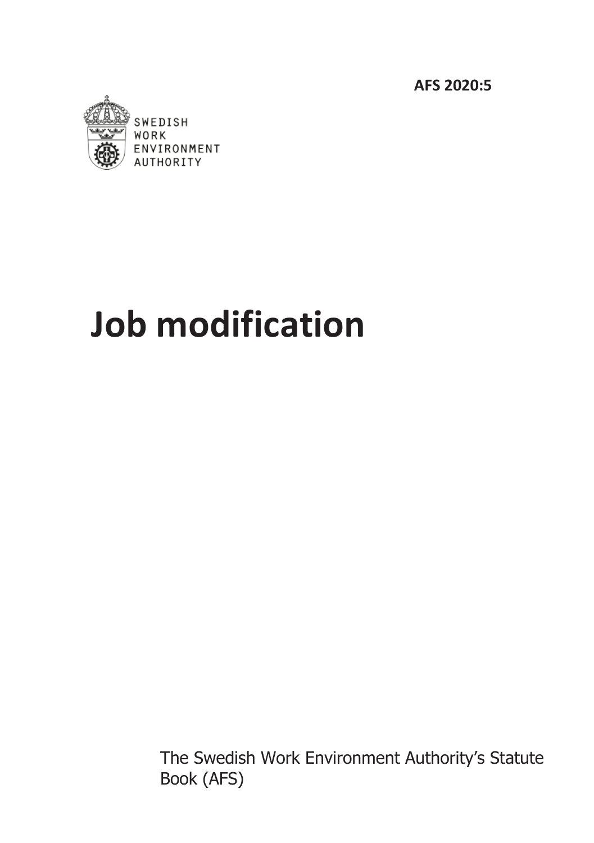**AFS 2020:5**



# **Job modification**

The Swedish Work Environment Authority's Statute Book (AFS)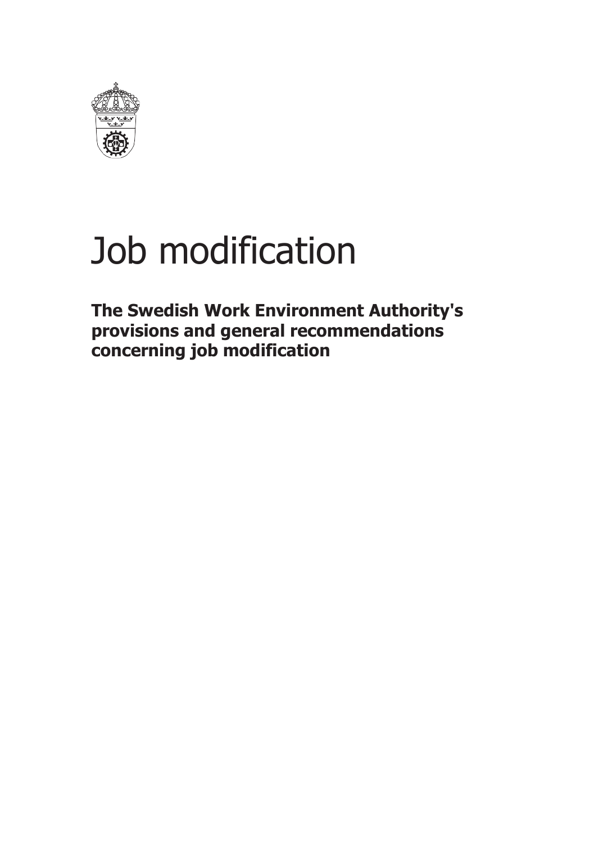

# Job modification

**The Swedish Work Environment Authority's provisions and general recommendations concerning job modification**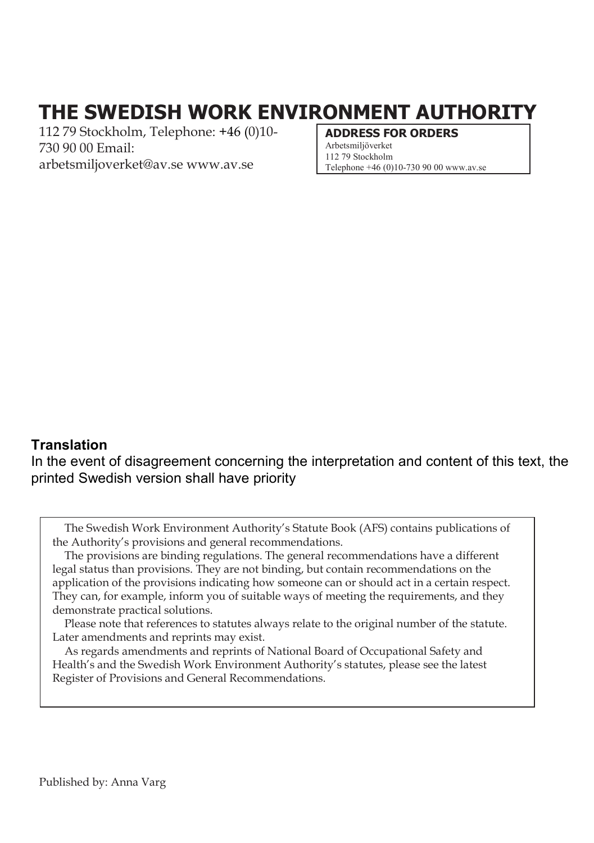# **THE SWEDISH WORK ENVIRONMENT AUTHORITY**

112 79 Stockholm, Telephone: +46 (0)10- 730 90 00 Email: [arbetsmiljoverket@av.se](mailto:arbetsmiljoverket@av.se) [www.av.se](http://www.av.se/)

#### **ADDRESS FOR ORDERS** [Arbetsmiljöverket](mailto:arbetsmiljoverket@av.se)

112 79 Stockholm [Telephone +46 \(0\)10-730 90 00 www.av.se](http://www.av.se/)

#### **Translation**

In the event of disagreement concerning the interpretation and content of this text, the printed Swedish version shall have priority

The Swedish Work Environment Authority's Statute Book (AFS) contains publications of the Authority's provisions and general recommendations.

The provisions are binding regulations. The general recommendations have a different legal status than provisions. They are not binding, but contain recommendations on the application of the provisions indicating how someone can or should act in a certain respect. They can, for example, inform you of suitable ways of meeting the requirements, and they demonstrate practical solutions.

Please note that references to statutes always relate to the original number of the statute. Later amendments and reprints may exist.

As regards amendments and reprints of National Board of Occupational Safety and Health's and the Swedish Work Environment Authority's statutes, please see the latest Register of Provisions and General Recommendations.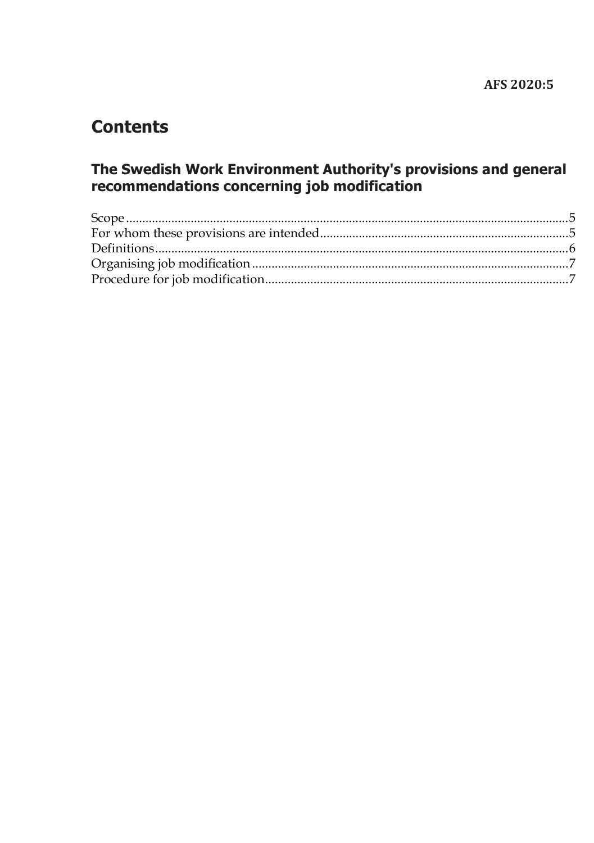# **Contents**

# The Swedish Work Environment Authority's provisions and general recommendations concerning job modification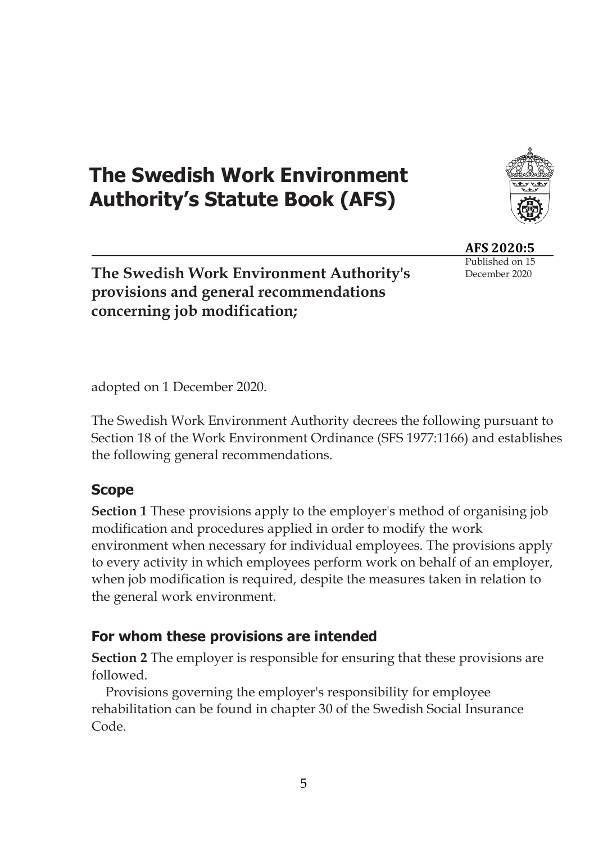# **The Swedish Work Environment Authority's Statute Book (AFS)**



**AFS 2020:5** Published on 15 December 2020

**The Swedish Work Environment Authority's provisions and general recommendations concerning job modification;**

adopted on 1 December 2020.

The Swedish Work Environment Authority decrees the following pursuant to Section 18 of the Work Environment Ordinance (SFS 1977:1166) and establishes the following general recommendations.

## <span id="page-4-0"></span>**Scope**

**Section 1** These provisions apply to the employer's method of organising job modification and procedures applied in order to modify the work environment when necessary for individual employees. The provisions apply to every activity in which employees perform work on behalf of an employer, when job modification is required, despite the measures taken in relation to the general work environment.

## <span id="page-4-1"></span>**For whom these provisions are intended**

**Section 2** The employer is responsible for ensuring that these provisions are followed.

Provisions governing the employer's responsibility for employee rehabilitation can be found in chapter 30 of the Swedish Social Insurance Code.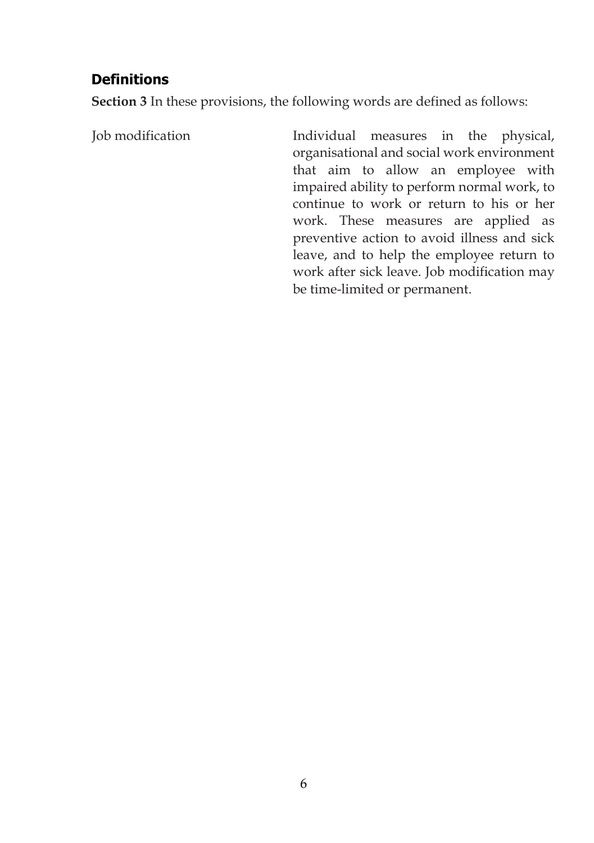## <span id="page-5-0"></span>**Definitions**

**Section 3** In these provisions, the following words are defined as follows:

Job modification Individual measures in the physical, organisational and social work environment that aim to allow an employee with impaired ability to perform normal work, to continue to work or return to his or her work. These measures are applied as preventive action to avoid illness and sick leave, and to help the employee return to work after sick leave. Job modification may be time-limited or permanent.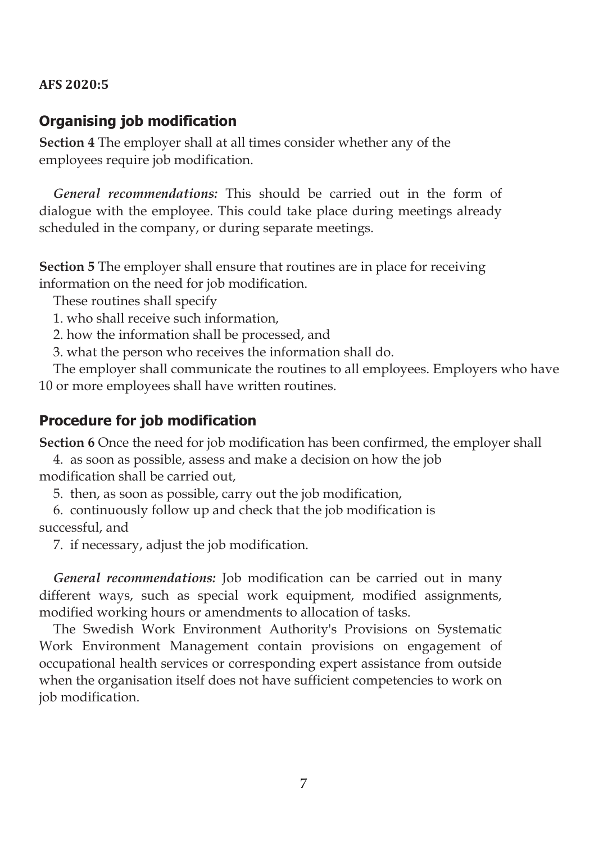### **AFS 2020:5**

### <span id="page-6-0"></span>**Organising job modification**

**Section 4** The employer shall at all times consider whether any of the employees require job modification.

*General recommendations:* This should be carried out in the form of dialogue with the employee. This could take place during meetings already scheduled in the company, or during separate meetings.

**Section 5** The employer shall ensure that routines are in place for receiving information on the need for job modification.

These routines shall specify

1. who shall receive such information,

2. how the information shall be processed, and

3. what the person who receives the information shall do.

The employer shall communicate the routines to all employees. Employers who have 10 or more employees shall have written routines.

## <span id="page-6-1"></span>**Procedure for job modification**

**Section 6** Once the need for job modification has been confirmed, the employer shall

4. as soon as possible, assess and make a decision on how the job modification shall be carried out,

5. then, as soon as possible, carry out the job modification,

6. continuously follow up and check that the job modification is successful, and

7. if necessary, adjust the job modification.

*General recommendations:* Job modification can be carried out in many different ways, such as special work equipment, modified assignments, modified working hours or amendments to allocation of tasks.

The Swedish Work Environment Authority's Provisions on Systematic Work Environment Management contain provisions on engagement of occupational health services or corresponding expert assistance from outside when the organisation itself does not have sufficient competencies to work on job modification.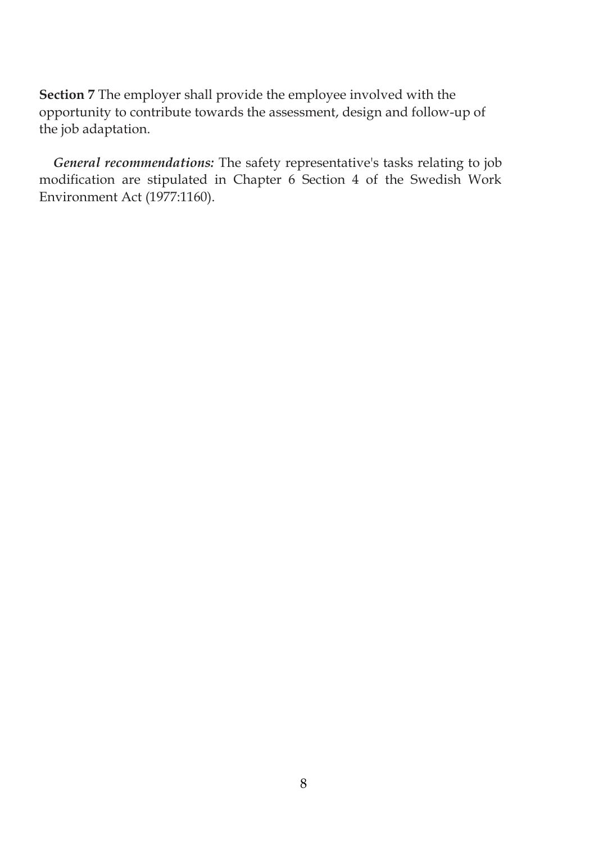**Section 7** The employer shall provide the employee involved with the opportunity to contribute towards the assessment, design and follow-up of the job adaptation.

*General recommendations:* The safety representative's tasks relating to job modification are stipulated in Chapter 6 Section 4 of the Swedish Work Environment Act (1977:1160).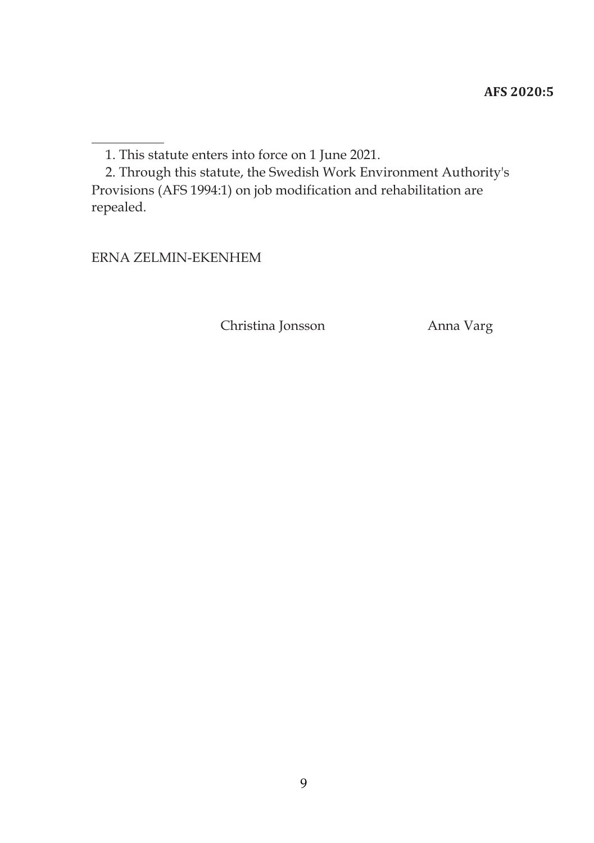ERNA ZELMIN-EKENHEM

Christina Jonsson Anna Varg

<sup>1.</sup> This statute enters into force on 1 June 2021.

<sup>2.</sup> Through this statute, the Swedish Work Environment Authority's Provisions (AFS 1994:1) on job modification and rehabilitation are repealed.